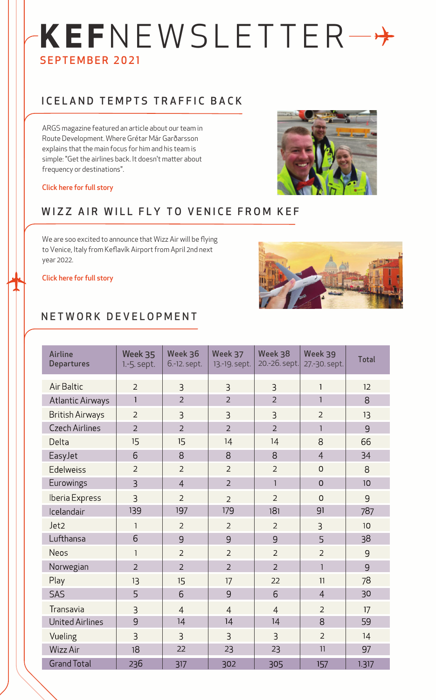# **KEF**NEWSLETTER SEPTEMBER 2021

### ICELAND TEMPTS TRAFFIC BACK

ARGS magazine featured an article about our team in Route Development. Where Grétar Már Garðarsson explains that the main focus for him and his team is simple: "Get the airlines back. It doesn't matter about frequency or destinations".



#### [Click here for full story](https://www.linkedin.com/feed/update/urn:li:activity:6851481548009615361/)

#### WIZZ AIR WILL FLY TO VENICE FROM KEF

We are soo excited to announce that Wizz Air will be flying to Venice, Italy from Keflavík Airport from April 2nd next year 2022.





#### NETWORK DEVELOPMENT

| <b>Airline</b><br><b>Departures</b> | Week 35<br>1.-5. sept. | Week 36<br>6.-12. sept. | Week 37<br>13.-19. sept. | Week 38<br>20.-26. sept. | Week 39<br>27 .- 30. sept. | <b>Total</b> |
|-------------------------------------|------------------------|-------------------------|--------------------------|--------------------------|----------------------------|--------------|
| Air Baltic                          | $\overline{2}$         | 3                       | 3                        | $\overline{3}$           | $\mathbf{1}$               | 12           |
| <b>Atlantic Airways</b>             | $\mathbf{1}$           | $\overline{2}$          | $\overline{2}$           | $\overline{2}$           | 1                          | 8            |
| <b>British Airways</b>              | $\overline{2}$         | 3                       | 3                        | 3                        | $\overline{2}$             | 13           |
| <b>Czech Airlines</b>               | $\overline{2}$         | $\overline{2}$          | $\overline{2}$           | $\overline{2}$           | 1                          | 9            |
| Delta                               | 15                     | 15                      | 14                       | 14                       | 8                          | 66           |
| EasyJet                             | 6                      | 8                       | 8                        | 8                        | $\overline{4}$             | 34           |
| Edelweiss                           | $\overline{2}$         | $\overline{2}$          | $\overline{2}$           | $\overline{2}$           | $\mathbf 0$                | 8            |
| Eurowings                           | $\overline{3}$         | $\overline{4}$          | $\overline{2}$           | $\mathbf{1}$             | $\overline{O}$             | 10           |
| Iberia Express                      | 3                      | $\overline{2}$          | $\overline{2}$           | $\overline{2}$           | $\overline{0}$             | 9            |
| Icelandair                          | 139                    | 197                     | 179                      | 181                      | 91                         | 787          |
| Jet2                                | $\mathbf{1}$           | $\overline{2}$          | $\overline{2}$           | $\overline{2}$           | 3                          | 10           |
| Lufthansa                           | 6                      | 9                       | 9                        | 9                        | 5                          | 38           |
| <b>Neos</b>                         | $\mathbf{1}$           | $\overline{2}$          | $\overline{2}$           | $\overline{2}$           | $\overline{2}$             | 9            |
| Norwegian                           | $\overline{2}$         | $\overline{2}$          | $\overline{2}$           | $\overline{2}$           | 1                          | 9            |
| Play                                | 13                     | 15                      | 17                       | 22                       | 11                         | 78           |
| SAS                                 | 5                      | 6                       | 9                        | 6                        | $\overline{4}$             | 30           |
| Transavia                           | 3                      | $\overline{4}$          | $\overline{4}$           | $\overline{4}$           | $\overline{2}$             | 17           |
| <b>United Airlines</b>              | 9                      | 14                      | 14                       | 14                       | 8                          | 59           |
| Vueling                             | $\overline{3}$         | $\overline{3}$          | $\overline{3}$           | $\overline{3}$           | $\overline{2}$             | 14           |
| Wizz Air                            | 18                     | 22                      | 23                       | 23                       | 11                         | 97           |
| <b>Grand Total</b>                  | 236                    | 317                     | 302                      | 305                      | 157                        | 1.317        |